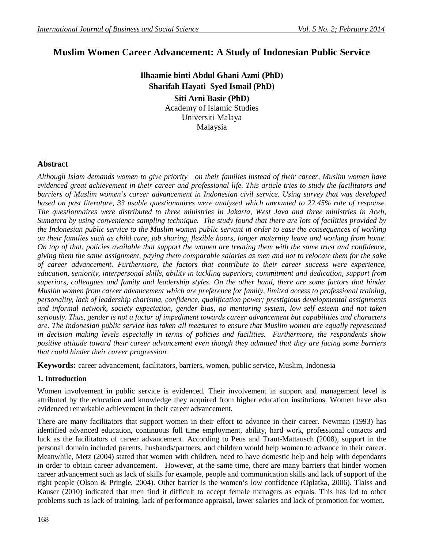# **Muslim Women Career Advancement: A Study of Indonesian Public Service**

**Ilhaamie binti Abdul Ghani Azmi (PhD) Sharifah Hayati Syed Ismail (PhD) Siti Arni Basir (PhD)** Academy of Islamic Studies Universiti Malaya

Malaysia

# **Abstract**

*Although Islam demands women to give priority on their families instead of their career, Muslim women have evidenced great achievement in their career and professional life. This article tries to study the facilitators and barriers of Muslim women's career advancement in Indonesian civil service. Using survey that was developed based on past literature, 33 usable questionnaires were analyzed which amounted to 22.45% rate of response. The questionnaires were distributed to three ministries in Jakarta, West Java and three ministries in Aceh, Sumatera by using convenience sampling technique. The study found that there are lots of facilities provided by the Indonesian public service to the Muslim women public servant in order to ease the consequences of working on their families such as child care, job sharing, flexible hours, longer maternity leave and working from home. On top of that, policies available that support the women are treating them with the same trust and confidence, giving them the same assignment, paying them comparable salaries as men and not to relocate them for the sake of career advancement. Furthermore, the factors that contribute to their career success were experience, education, seniority, interpersonal skills, ability in tackling superiors, commitment and dedication, support from superiors, colleagues and family and leadership styles. On the other hand, there are some factors that hinder Muslim women from career advancement which are preference for family, limited access to professional training, personality, lack of leadership charisma, confidence, qualification power; prestigious developmental assignments and informal network, society expectation, gender bias, no mentoring system, low self esteem and not taken seriously. Thus, gender is not a factor of impediment towards career advancement but capabilities and characters are. The Indonesian public service has taken all measures to ensure that Muslim women are equally represented in decision making levels especially in terms of policies and facilities. Furthermore, the respondents show positive attitude toward their career advancement even though they admitted that they are facing some barriers that could hinder their career progression.* 

**Keywords:** career advancement, facilitators, barriers, women, public service, Muslim, Indonesia

# **1. Introduction**

Women involvement in public service is evidenced. Their involvement in support and management level is attributed by the education and knowledge they acquired from higher education institutions. Women have also evidenced remarkable achievement in their career advancement.

There are many facilitators that support women in their effort to advance in their career. Newman (1993) has identified advanced education, continuous full time employment, ability, hard work, professional contacts and luck as the facilitators of career advancement. According to Peus and Traut-Mattausch (2008), support in the personal domain included parents, husbands/partners, and children would help women to advance in their career. Meanwhile, Metz (2004) stated that women with children, need to have domestic help and help with dependants in order to obtain career advancement. However, at the same time, there are many barriers that hinder women career advancement such as lack of skills for example, people and communication skills and lack of support of the right people (Olson & Pringle, 2004). Other barrier is the women's low confidence (Oplatka, 2006). Tlaiss and Kauser (2010) indicated that men find it difficult to accept female managers as equals. This has led to other problems such as lack of training, lack of performance appraisal, lower salaries and lack of promotion for women.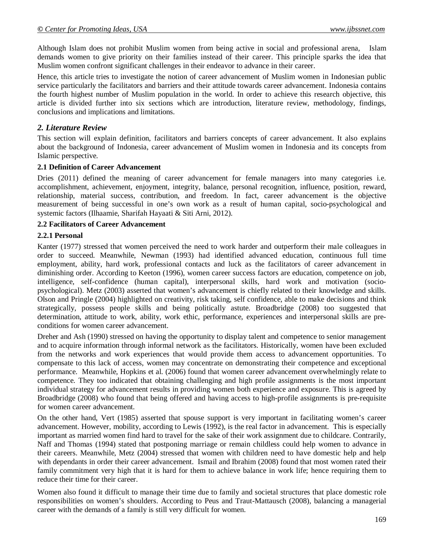Although Islam does not prohibit Muslim women from being active in social and professional arena, Islam demands women to give priority on their families instead of their career. This principle sparks the idea that Muslim women confront significant challenges in their endeavor to advance in their career.

Hence, this article tries to investigate the notion of career advancement of Muslim women in Indonesian public service particularly the facilitators and barriers and their attitude towards career advancement. Indonesia contains the fourth highest number of Muslim population in the world. In order to achieve this research objective, this article is divided further into six sections which are introduction, literature review, methodology, findings, conclusions and implications and limitations.

#### *2. Literature Review*

This section will explain definition, facilitators and barriers concepts of career advancement. It also explains about the background of Indonesia, career advancement of Muslim women in Indonesia and its concepts from Islamic perspective.

#### **2.1 Definition of Career Advancement**

Dries (2011) defined the meaning of career advancement for female managers into many categories i.e. accomplishment, achievement, enjoyment, integrity, balance, personal recognition, influence, position, reward, relationship, material success, contribution, and freedom. In fact, career advancement is the objective measurement of being successful in one's own work as a result of human capital, socio-psychological and systemic factors (Ilhaamie, Sharifah Hayaati & Siti Arni, 2012).

#### **2.2 Facilitators of Career Advancement**

#### **2.2.1 Personal**

Kanter (1977) stressed that women perceived the need to work harder and outperform their male colleagues in order to succeed. Meanwhile, Newman (1993) had identified advanced education, continuous full time employment, ability, hard work, professional contacts and luck as the facilitators of career advancement in diminishing order. According to Keeton (1996), women career success factors are education, competence on job, intelligence, self-confidence (human capital), interpersonal skills, hard work and motivation (sociopsychological). Metz (2003) asserted that women's advancement is chiefly related to their knowledge and skills. Olson and Pringle (2004) highlighted on creativity, risk taking, self confidence, able to make decisions and think strategically, possess people skills and being politically astute. Broadbridge (2008) too suggested that determination, attitude to work, ability, work ethic, performance, experiences and interpersonal skills are preconditions for women career advancement.

Dreher and Ash (1990) stressed on having the opportunity to display talent and competence to senior management and to acquire information through informal network as the facilitators. Historically, women have been excluded from the networks and work experiences that would provide them access to advancement opportunities. To compensate to this lack of access, women may concentrate on demonstrating their competence and exceptional performance. Meanwhile, Hopkins et al. (2006) found that women career advancement overwhelmingly relate to competence. They too indicated that obtaining challenging and high profile assignments is the most important individual strategy for advancement results in providing women both experience and exposure. This is agreed by Broadbridge (2008) who found that being offered and having access to high-profile assignments is pre-requisite for women career advancement.

On the other hand, Vert (1985) asserted that spouse support is very important in facilitating women's career advancement. However, mobility, according to Lewis (1992), is the real factor in advancement. This is especially important as married women find hard to travel for the sake of their work assignment due to childcare. Contrarily, Naff and Thomas (1994) stated that postponing marriage or remain childless could help women to advance in their careers. Meanwhile, Metz (2004) stressed that women with children need to have domestic help and help with dependants in order their career advancement. Ismail and Ibrahim (2008) found that most women rated their family commitment very high that it is hard for them to achieve balance in work life; hence requiring them to reduce their time for their career.

Women also found it difficult to manage their time due to family and societal structures that place domestic role responsibilities on women's shoulders. According to Peus and Traut-Mattausch (2008), balancing a managerial career with the demands of a family is still very difficult for women.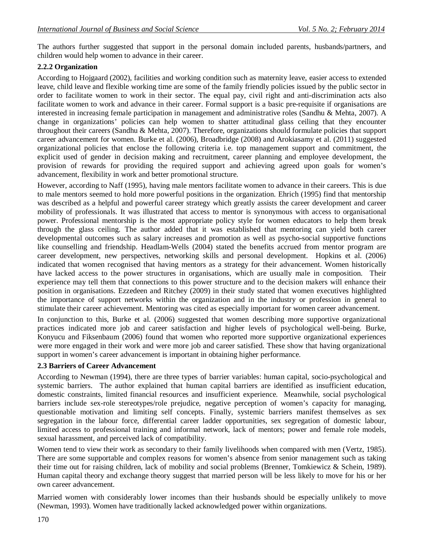The authors further suggested that support in the personal domain included parents, husbands/partners, and children would help women to advance in their career.

# **2.2.2 Organization**

According to Hojgaard (2002), facilities and working condition such as maternity leave, easier access to extended leave, child leave and flexible working time are some of the family friendly policies issued by the public sector in order to facilitate women to work in their sector. The equal pay, civil right and anti-discrimination acts also facilitate women to work and advance in their career. Formal support is a basic pre-requisite if organisations are interested in increasing female participation in management and administrative roles (Sandhu & Mehta, 2007). A change in organizations' policies can help women to shatter attitudinal glass ceiling that they encounter throughout their careers (Sandhu & Mehta, 2007). Therefore, organizations should formulate policies that support career advancement for women. Burke et al. (2006), Broadbridge (2008) and Arokiasamy et al. (2011) suggested organizational policies that enclose the following criteria i.e. top management support and commitment, the explicit used of gender in decision making and recruitment, career planning and employee development, the provision of rewards for providing the required support and achieving agreed upon goals for women's advancement, flexibility in work and better promotional structure.

However, according to Naff (1995), having male mentors facilitate women to advance in their careers. This is due to male mentors seemed to hold more powerful positions in the organization. Ehrich (1995) find that mentorship was described as a helpful and powerful career strategy which greatly assists the career development and career mobility of professionals. It was illustrated that access to mentor is synonymous with access to organisational power. Professional mentorship is the most appropriate policy style for women educators to help them break through the glass ceiling. The author added that it was established that mentoring can yield both career developmental outcomes such as salary increases and promotion as well as psycho-social supportive functions like counselling and friendship. Headlam-Wells (2004) stated the benefits accrued from mentor program are career development, new perspectives, networking skills and personal development. Hopkins et al. (2006) indicated that women recognised that having mentors as a strategy for their advancement. Women historically have lacked access to the power structures in organisations, which are usually male in composition. Their experience may tell them that connections to this power structure and to the decision makers will enhance their position in organisations. Ezzedeen and Ritchey (2009) in their study stated that women executives highlighted the importance of support networks within the organization and in the industry or profession in general to stimulate their career achievement. Mentoring was cited as especially important for women career advancement.

In conjunction to this, Burke et al. (2006) suggested that women describing more supportive organizational practices indicated more job and career satisfaction and higher levels of psychological well-being. Burke, Konyucu and Fiksenbaum (2006) found that women who reported more supportive organizational experiences were more engaged in their work and were more job and career satisfied. These show that having organizational support in women's career advancement is important in obtaining higher performance.

# **2.3 Barriers of Career Advancement**

According to Newman (1994), there are three types of barrier variables: human capital, socio-psychological and systemic barriers. The author explained that human capital barriers are identified as insufficient education, domestic constraints, limited financial resources and insufficient experience. Meanwhile, social psychological barriers include sex-role stereotypes/role prejudice, negative perception of women's capacity for managing, questionable motivation and limiting self concepts. Finally, systemic barriers manifest themselves as sex segregation in the labour force, differential career ladder opportunities, sex segregation of domestic labour, limited access to professional training and informal network, lack of mentors; power and female role models, sexual harassment, and perceived lack of compatibility.

Women tend to view their work as secondary to their family livelihoods when compared with men (Vertz, 1985). There are some supportable and complex reasons for women's absence from senior management such as taking their time out for raising children, lack of mobility and social problems (Brenner, Tomkiewicz & Schein, 1989). Human capital theory and exchange theory suggest that married person will be less likely to move for his or her own career advancement.

Married women with considerably lower incomes than their husbands should be especially unlikely to move (Newman, 1993). Women have traditionally lacked acknowledged power within organizations.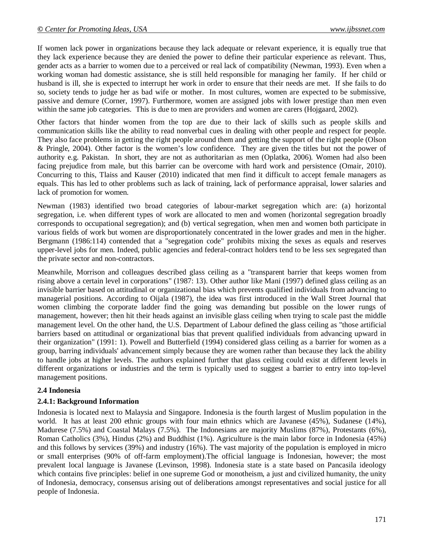If women lack power in organizations because they lack adequate or relevant experience, it is equally true that they lack experience because they are denied the power to define their particular experience as relevant. Thus, gender acts as a barrier to women due to a perceived or real lack of compatibility (Newman, 1993). Even when a working woman had domestic assistance, she is still held responsible for managing her family. If her child or husband is ill, she is expected to interrupt her work in order to ensure that their needs are met. If she fails to do so, society tends to judge her as bad wife or mother. In most cultures, women are expected to be submissive, passive and demure (Corner, 1997). Furthermore, women are assigned jobs with lower prestige than men even within the same job categories. This is due to men are providers and women are carers (Hojgaard, 2002).

Other factors that hinder women from the top are due to their lack of skills such as people skills and communication skills like the ability to read nonverbal cues in dealing with other people and respect for people. They also face problems in getting the right people around them and getting the support of the right people (Olson & Pringle, 2004). Other factor is the women's low confidence. They are given the titles but not the power of authority e.g. Pakistan. In short, they are not as authoritarian as men (Oplatka, 2006). Women had also been facing prejudice from male, but this barrier can be overcome with hard work and persistence (Omair, 2010). Concurring to this, Tlaiss and Kauser (2010) indicated that men find it difficult to accept female managers as equals. This has led to other problems such as lack of training, lack of performance appraisal, lower salaries and lack of promotion for women.

Newman (1983) identified two broad categories of labour-market segregation which are: (a) horizontal segregation, i.e. when different types of work are allocated to men and women (horizontal segregation broadly corresponds to occupational segregation); and (b) vertical segregation, when men and women both participate in various fields of work but women are disproportionately concentrated in the lower grades and men in the higher. Bergmann (1986:114) contended that a "segregation code" prohibits mixing the sexes as equals and reserves upper-level jobs for men. Indeed, public agencies and federal-contract holders tend to be less sex segregated than the private sector and non-contractors.

Meanwhile, Morrison and colleagues described glass ceiling as a "transparent barrier that keeps women from rising above a certain level in corporations" (1987: 13). Other author like Mani (1997) defined glass ceiling as an invisible barrier based on attitudinal or organizational bias which prevents qualified individuals from advancing to managerial positions. According to Oijala (1987), the idea was first introduced in the Wall Street Journal that women climbing the corporate ladder find the going was demanding but possible on the lower rungs of management, however; then hit their heads against an invisible glass ceiling when trying to scale past the middle management level. On the other hand, the U.S. Department of Labour defined the glass ceiling as "those artificial barriers based on attitudinal or organizational bias that prevent qualified individuals from advancing upward in their organization" (1991: 1). Powell and Butterfield (1994) considered glass ceiling as a barrier for women as a group, barring individuals' advancement simply because they are women rather than because they lack the ability to handle jobs at higher levels. The authors explained further that glass ceiling could exist at different levels in different organizations or industries and the term is typically used to suggest a barrier to entry into top-level management positions.

#### **2.4 Indonesia**

#### **2.4.1: Background Information**

Indonesia is located next to Malaysia and Singapore. Indonesia is the fourth largest of Muslim population in the world. It has at least 200 ethnic groups with four main ethnics which are Javanese (45%), Sudanese (14%), Madurese (7.5%) and Coastal Malays (7.5%). The Indonesians are majority Muslims (87%), Protestants (6%), Roman Catholics (3%), Hindus (2%) and Buddhist (1%). Agriculture is the main labor force in Indonesia (45%) and this follows by services (39%) and industry (16%). The vast majority of the population is employed in micro or small enterprises (90% of off-farm employment).The official language is Indonesian, however; the most prevalent local language is Javanese (Levinson, 1998). Indonesia state is a state based on Pancasila ideology which contains five principles: belief in one supreme God or monotheism, a just and civilized humanity, the unity of Indonesia, democracy, consensus arising out of deliberations amongst representatives and social justice for all people of Indonesia.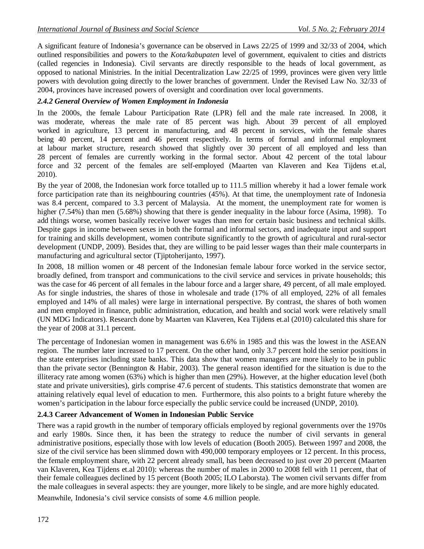A significant feature of Indonesia's governance can be observed in Laws 22/25 of 1999 and 32/33 of 2004, which outlined responsibilities and powers to the *Kota/kabupaten* level of government, equivalent to cities and districts (called regencies in Indonesia). Civil servants are directly responsible to the heads of local government, as opposed to national Ministries. In the initial Decentralization Law 22/25 of 1999, provinces were given very little powers with devolution going directly to the lower branches of government. Under the Revised Law No. 32/33 of 2004, provinces have increased powers of oversight and coordination over local governments.

# *2.4.2 General Overview of Women Employment in Indonesia*

In the 2000s, the female Labour Participation Rate (LPR) fell and the male rate increased. In 2008, it was moderate, whereas the male rate of 85 percent was high. About 39 percent of all employed worked in agriculture, 13 percent in manufacturing, and 48 percent in services, with the female shares being 40 percent, 14 percent and 46 percent respectively. In terms of formal and informal employment at labour market structure, research showed that slightly over 30 percent of all employed and less than 28 percent of females are currently working in the formal sector. About 42 percent of the total labour force and 32 percent of the females are self-employed (Maarten van Klaveren and Kea Tijdens et.al, 2010).

By the year of 2008, the Indonesian work force totalled up to 111.5 million whereby it had a lower female work force participation rate than its neighbouring countries (45%). At that time, the unemployment rate of Indonesia was 8.4 percent, compared to 3.3 percent of Malaysia. At the moment, the unemployment rate for women is higher (7.54%) than men (5.68%) showing that there is gender inequality in the labour force (Asima, 1998). To add things worse, women basically receive lower wages than men for certain basic business and technical skills. Despite gaps in income between sexes in both the formal and informal sectors, and inadequate input and support for training and skills development, women contribute significantly to the growth of agricultural and rural-sector development (UNDP, 2009). Besides that, they are willing to be paid lesser wages than their male counterparts in manufacturing and agricultural sector (Tjiptoherijanto, 1997).

In 2008, 18 million women or 48 percent of the Indonesian female labour force worked in the service sector, broadly defined, from transport and communications to the civil service and services in private households; this was the case for 46 percent of all females in the labour force and a larger share, 49 percent, of all male employed. As for single industries, the shares of those in wholesale and trade (17% of all employed, 22% of all females employed and 14% of all males) were large in international perspective. By contrast, the shares of both women and men employed in finance, public administration, education, and health and social work were relatively small (UN MDG Indicators). Research done by Maarten van Klaveren, Kea Tijdens et.al (2010) calculated this share for the year of 2008 at 31.1 percent.

The percentage of Indonesian women in management was 6.6% in 1985 and this was the lowest in the ASEAN region. The number later increased to 17 percent. On the other hand, only 3.7 percent hold the senior positions in the state enterprises including state banks. This data show that women managers are more likely to be in public than the private sector (Bennington & Habir, 2003). The general reason identified for the situation is due to the illiteracy rate among women (63%) which is higher than men (29%). However, at the higher education level (both state and private universities), girls comprise 47.6 percent of students. This statistics demonstrate that women are attaining relatively equal level of education to men. Furthermore, this also points to a bright future whereby the women's participation in the labour force especially the public service could be increased (UNDP, 2010).

# **2.4.3 Career Advancement of Women in Indonesian Public Service**

There was a rapid growth in the number of temporary officials employed by regional governments over the 1970s and early 1980s. Since then, it has been the strategy to reduce the number of civil servants in general administrative positions, especially those with low levels of education (Booth 2005). Between 1997 and 2008, the size of the civil service has been slimmed down with 490,000 temporary employees or 12 percent. In this process, the female employment share, with 22 percent already small, has been decreased to just over 20 percent (Maarten van Klaveren, Kea Tijdens et.al 2010): whereas the number of males in 2000 to 2008 fell with 11 percent, that of their female colleagues declined by 15 percent (Booth 2005; ILO Laborsta). The women civil servants differ from the male colleagues in several aspects: they are younger, more likely to be single, and are more highly educated.

Meanwhile, Indonesia's civil service consists of some 4.6 million people.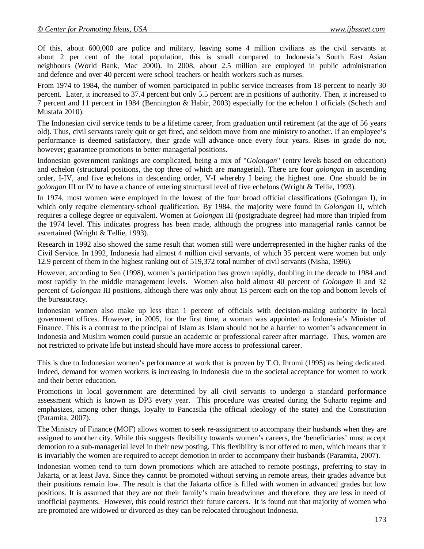Of this, about 600,000 are police and military, leaving some 4 million civilians as the civil servants at about 2 per cent of the total population, this is small compared to Indonesia's South East Asian neighbours (World Bank, Mac 2000). In 2008, about 2.5 million are employed in public administration and defence and over 40 percent were school teachers or health workers such as nurses.

From 1974 to 1984, the number of women participated in public service increases from 18 percent to nearly 30 percent. Later, it increased to 37.4 percent but only 5.5 percent are in positions of authority. Then, it increased to 7 percent and 11 percent in 1984 (Bennington & Habir, 2003) especially for the echelon 1 officials (Schech and Mustafa 2010).

The Indonesian civil service tends to be a lifetime career, from graduation until retirement (at the age of 56 years old). Thus, civil servants rarely quit or get fired, and seldom move from one ministry to another. If an employee's performance is deemed satisfactory, their grade will advance once every four years. Rises in grade do not, however; guarantee promotions to better managerial positions.

Indonesian government rankings are complicated, being a mix of "*Golongan*" (entry levels based on education) and echelon (structural positions, the top three of which are managerial). There are four *golongan* in ascending order, I-IV, and five echelons in descending order, V-I whereby I being the highest one. One should be in *golongan* III or IV to have a chance of entering structural level of five echelons (Wright & Tellie, 1993).

In 1974, most women were employed in the lowest of the four broad official classifications (Golongan I), in which only require elementary-school qualification. By 1984, the majority were found in *Golongan* II, which requires a college degree or equivalent. Women at *Golongan* III (postgraduate degree) had more than tripled from the 1974 level. This indicates progress has been made, although the progress into managerial ranks cannot be ascertained (Wright & Tellie, 1993).

Research in 1992 also showed the same result that women still were underrepresented in the higher ranks of the Civil Service. In 1992, Indonesia had almost 4 million civil servants, of which 35 percent were women but only 12.9 percent of them in the highest ranking out of 519,372 total number of civil servants (Nisha, 1996).

However, according to Sen (1998), women's participation has grown rapidly, doubling in the decade to 1984 and most rapidly in the middle management levels. Women also hold almost 40 percent of *Golongan* II and 32 percent of *Golongan* III positions, although there was only about 13 percent each on the top and bottom levels of the bureaucracy.

Indonesian women also make up less than 1 percent of officials with decision-making authority in local government offices. However, in 2005, for the first time, a woman was appointed as Indonesia's Minister of Finance. This is a contrast to the principal of Islam as Islam should not be a barrier to women's advancement in Indonesia and Muslim women could pursue an academic or professional career after marriage. Thus, women are not restricted to private life but instead should have more access to professional career.

This is due to Indonesian women's performance at work that is proven by T.O. Ihromi (1995) as being dedicated. Indeed, demand for women workers is increasing in Indonesia due to the societal acceptance for women to work and their better education.

Promotions in local government are determined by all civil servants to undergo a standard performance assessment which is known as DP3 every year. This procedure was created during the Suharto regime and emphasizes, among other things, loyalty to Pancasila (the official ideology of the state) and the Constitution (Paramita, 2007).

The Ministry of Finance (MOF) allows women to seek re-assignment to accompany their husbands when they are assigned to another city. While this suggests flexibility towards women's careers, the 'beneficiaries' must accept demotion to a sub-managerial level in their new posting. This flexibility is not offered to men, which means that it is invariably the women are required to accept demotion in order to accompany their husbands (Paramita, 2007).

Indonesian women tend to turn down promotions which are attached to remote postings, preferring to stay in Jakarta, or at least Java. Since they cannot be promoted without serving in remote areas, their grades advance but their positions remain low. The result is that the Jakarta office is filled with women in advanced grades but low positions. It is assumed that they are not their family's main breadwinner and therefore, they are less in need of unofficial payments. However, this could restrict their future careers. It is found out that majority of women who are promoted are widowed or divorced as they can be relocated throughout Indonesia.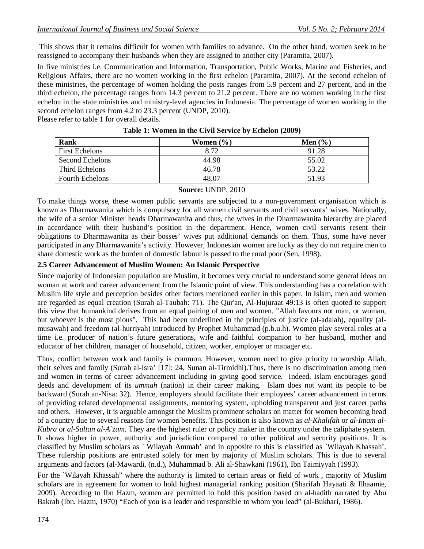This shows that it remains difficult for women with families to advance. On the other hand, women seek to be reassigned to accompany their husbands when they are assigned to another city (Paramita, 2007).

In five ministries i.e. Communication and Information, Transportation, Public Works, Marine and Fisheries, and Religious Affairs, there are no women working in the first echelon (Paramita, 2007). At the second echelon of these ministries, the percentage of women holding the posts ranges from 5.9 percent and 27 percent, and in the third echelon, the percentage ranges from 14.3 percent to 21.2 percent. There are no women working in the first echelon in the state ministries and ministry-level agencies in Indonesia. The percentage of women working in the second echelon ranges from 4.2 to 23.3 percent (UNDP, 2010).

Please refer to table 1 for overall details.

| Rank                   | Women $(\% )$ | Men $(\% )$ |
|------------------------|---------------|-------------|
| <b>First Echelons</b>  | 8.72          | 91.28       |
| Second Echelons        | 44.98         | 55.02       |
| Third Echelons         | 46.78         | 53.22       |
| <b>Fourth Echelons</b> | 48.07         | 51.93       |

#### **Table 1: Women in the Civil Service by Echelon (2009)**

#### **Source:** UNDP, 2010

To make things worse, these women public servants are subjected to a non-government organisation which is known as Dharmawanita which is compulsory for all women civil servants and civil servants' wives. Nationally, the wife of a senior Minister heads Dharmawanita and thus, the wives in the Dharmawanita hierarchy are placed in accordance with their husband's position in the department. Hence, women civil servants resent their obligations to Dharmawanita as their bosses' wives put additional demands on them. Thus, some have never participated in any Dharmawanita's activity. However, Indonesian women are lucky as they do not require men to share domestic work as the burden of domestic labour is passed to the rural poor (Sen, 1998).

#### **2.5 Career Advancement of Muslim Women: An Islamic Perspective**

Since majority of Indonesian population are Muslim, it becomes very crucial to understand some general ideas on woman at work and career advancement from the Islamic point of view. This understanding has a correlation with Muslim life style and perception besides other factors mentioned earlier in this paper. In Islam, men and women are regarded as equal creation (Surah al-Taubah: 71). The Qur'an, Al-Hujuraat 49:13 is often quoted to support this view that humankind derives from an equal pairing of men and women. "Allah favours not man, or woman, but whoever is the most pious". This had been underlined in the principles of justice (al-adalah), equality (almusawah) and freedom (al-hurriyah) introduced by Prophet Muhammad (p.b.u.h). Women play several roles at a time i.e. producer of nation's future generations, wife and faithful companion to her husband, mother and educator of her children, manager of household, citizen, worker, employer or manager etc.

Thus, conflict between work and family is common. However, women need to give priority to worship Allah, their selves and family (Surah al-Isra' [17]: 24, Sunan al-Tirmidhi).Thus, there is no discrimination among men and women in terms of career advancement including in giving good service. Indeed, Islam encourages good deeds and development of its *ummah* (nation) in their career making. Islam does not want its people to be backward (Surah an-Nisa: 32). Hence, employers should facilitate their employees' career advancement in terms of providing related developmental assignments, mentoring system, upholding transparent and just career paths and others. However, it is arguable amongst the Muslim prominent scholars on matter for women becoming head of a country due to several reasons for women benefits. This position is also known as *al-Khalifah* or *al-Imam al-Kubra* or *al-Sultan al-A`zam.* They are the highest ruler or policy maker in the country under the caliphate system. It shows higher in power, authority and jurisdiction compared to other political and security positions. It is classified by Muslim scholars as ` Wilayah Ammah' and in opposite to this is classified as `Wilayah Khassah'. These rulership positions are entrusted solely for men by majority of Muslim scholars. This is due to several arguments and factors (al-Mawardi, (n.d.), Muhammad b. Ali al-Shawkani (1961), Ibn Taimiyyah (1993).

For the `Wilayah Khassah" where the authority is limited to certain areas or field of work , majority of Muslim scholars are in agreement for women to hold highest managerial ranking position (Sharifah Hayaati & Ilhaamie, 2009). According to Ibn Hazm, women are permitted to hold this position based on al-hadith narrated by Abu Bakrah (Ibn. Hazm, 1970) "Each of you is a leader and responsible to whom you lead" (al-Bukhari, 1986).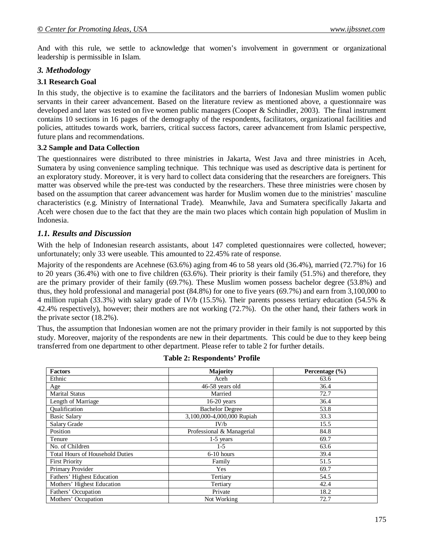And with this rule, we settle to acknowledge that women's involvement in government or organizational leadership is permissible in Islam.

#### *3. Methodology*

#### **3.1 Research Goal**

In this study, the objective is to examine the facilitators and the barriers of Indonesian Muslim women public servants in their career advancement. Based on the literature review as mentioned above, a questionnaire was developed and later was tested on five women public managers (Cooper & Schindler, 2003). The final instrument contains 10 sections in 16 pages of the demography of the respondents, facilitators, organizational facilities and policies, attitudes towards work, barriers, critical success factors, career advancement from Islamic perspective, future plans and recommendations.

#### **3.2 Sample and Data Collection**

The questionnaires were distributed to three ministries in Jakarta, West Java and three ministries in Aceh, Sumatera by using convenience sampling technique. This technique was used as descriptive data is pertinent for an exploratory study. Moreover, it is very hard to collect data considering that the researchers are foreigners. This matter was observed while the pre-test was conducted by the researchers. These three ministries were chosen by based on the assumption that career advancement was harder for Muslim women due to the ministries' masculine characteristics (e.g. Ministry of International Trade). Meanwhile, Java and Sumatera specifically Jakarta and Aceh were chosen due to the fact that they are the main two places which contain high population of Muslim in Indonesia.

# *1.1. Results and Discussion*

With the help of Indonesian research assistants, about 147 completed questionnaires were collected, however; unfortunately; only 33 were useable. This amounted to 22.45% rate of response.

Majority of the respondents are Acehnese (63.6%) aging from 46 to 58 years old (36.4%), married (72.7%) for 16 to 20 years (36.4%) with one to five children (63.6%). Their priority is their family (51.5%) and therefore, they are the primary provider of their family (69.7%). These Muslim women possess bachelor degree (53.8%) and thus, they hold professional and managerial post (84.8%) for one to five years (69.7%) and earn from 3,100,000 to 4 million rupiah (33.3%) with salary grade of IV/b (15.5%). Their parents possess tertiary education (54.5% & 42.4% respectively), however; their mothers are not working (72.7%). On the other hand, their fathers work in the private sector (18.2%).

Thus, the assumption that Indonesian women are not the primary provider in their family is not supported by this study. Moreover, majority of the respondents are new in their departments. This could be due to they keep being transferred from one department to other department. Please refer to table 2 for further details.

| <b>Factors</b>                         | Majority                   | Percentage (%) |
|----------------------------------------|----------------------------|----------------|
| Ethnic                                 | Aceh                       | 63.6           |
| Age                                    | 46-58 years old            | 36.4           |
| <b>Marital Status</b>                  | Married                    | 72.7           |
| Length of Marriage                     | $16-20$ years              | 36.4           |
| Qualification                          | <b>Bachelor Degree</b>     | 53.8           |
| <b>Basic Salary</b>                    | 3,100,000-4,000,000 Rupiah | 33.3           |
| Salary Grade                           | IV/b                       | 15.5           |
| Position                               | Professional & Managerial  | 84.8           |
| Tenure                                 | $1-5$ years                | 69.7           |
| No. of Children                        | 1-5                        | 63.6           |
| <b>Total Hours of Household Duties</b> | $6-10$ hours               | 39.4           |
| <b>First Priority</b>                  | Family                     | 51.5           |
| Primary Provider                       | Yes                        | 69.7           |
| Fathers' Highest Education             | Tertiary                   | 54.5           |
| Mothers' Highest Education             | Tertiary                   | 42.4           |
| Fathers' Occupation                    | Private                    | 18.2           |
| Mothers' Occupation                    | Not Working                | 72.7           |

#### **Table 2: Respondents' Profile**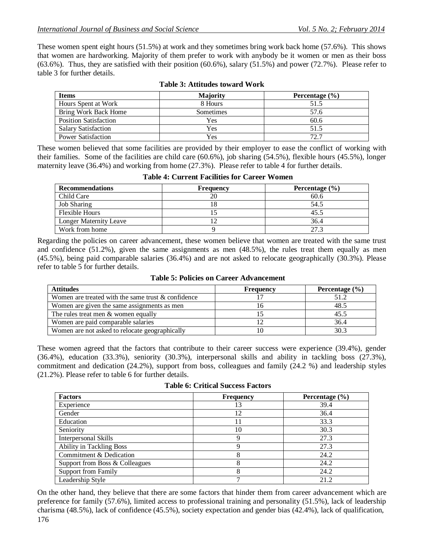These women spent eight hours (51.5%) at work and they sometimes bring work back home (57.6%). This shows that women are hardworking. Majority of them prefer to work with anybody be it women or men as their boss (63.6%). Thus, they are satisfied with their position (60.6%), salary (51.5%) and power (72.7%). Please refer to table 3 for further details.

| <b>Items</b>                 | <b>Majority</b> | Percentage $(\% )$ |
|------------------------------|-----------------|--------------------|
| Hours Spent at Work          | 8 Hours         | 51.5               |
| Bring Work Back Home         | Sometimes       | 57.6               |
| <b>Position Satisfaction</b> | Yes             | 60.6               |
| <b>Salary Satisfaction</b>   | Yes             | 51.5               |
| <b>Power Satisfaction</b>    | Yes             | 72.7               |

|  | <b>Table 3: Attitudes toward Work</b> |  |  |
|--|---------------------------------------|--|--|
|--|---------------------------------------|--|--|

These women believed that some facilities are provided by their employer to ease the conflict of working with their families. Some of the facilities are child care (60.6%), job sharing (54.5%), flexible hours (45.5%), longer maternity leave (36.4%) and working from home (27.3%). Please refer to table 4 for further details.

| <b>Table 4: Current Facilities for Career Women</b> |  |  |  |
|-----------------------------------------------------|--|--|--|
|-----------------------------------------------------|--|--|--|

| <b>Recommendations</b> | Frequency | Percentage $(\% )$ |
|------------------------|-----------|--------------------|
| Child Care             | 20        | 60.6               |
| <b>Job Sharing</b>     | 18        | 54.5               |
| <b>Flexible Hours</b>  |           | 45.5               |
| Longer Maternity Leave |           | 36.4               |
| Work from home         |           | 27.3               |

Regarding the policies on career advancement, these women believe that women are treated with the same trust and confidence (51.2%), given the same assignments as men (48.5%), the rules treat them equally as men (45.5%), being paid comparable salaries (36.4%) and are not asked to relocate geographically (30.3%). Please refer to table 5 for further details.

| <b>Attitudes</b>                                   | <b>Frequency</b> | Percentage $(\% )$ |
|----------------------------------------------------|------------------|--------------------|
| Women are treated with the same trust & confidence |                  | 51.2               |
| Women are given the same assignments as men        |                  | 48.5               |
| The rules treat men $\&$ women equally             |                  | 45.5               |
| Women are paid comparable salaries                 |                  | 36.4               |
| Women are not asked to relocate geographically     |                  | 30.3               |

**Table 5: Policies on Career Advancement**

These women agreed that the factors that contribute to their career success were experience (39.4%), gender (36.4%), education (33.3%), seniority (30.3%), interpersonal skills and ability in tackling boss (27.3%), commitment and dedication (24.2%), support from boss, colleagues and family (24.2 %) and leadership styles (21.2%). Please refer to table 6 for further details.

**Table 6: Critical Success Factors**

| <b>Factors</b>                  | <b>Frequency</b> | Percentage $(\% )$ |
|---------------------------------|------------------|--------------------|
| Experience                      | 13               | 39.4               |
| Gender                          | 12               | 36.4               |
| Education                       | 11               | 33.3               |
| Seniority                       | 10               | 30.3               |
| Interpersonal Skills            | Q                | 27.3               |
| <b>Ability in Tackling Boss</b> | Q                | 27.3               |
| Commitment & Dedication         | 8                | 24.2               |
| Support from Boss & Colleagues  |                  | 24.2               |
| <b>Support from Family</b>      |                  | 24.2               |
| Leadership Style                | –                | 21.2               |

On the other hand, they believe that there are some factors that hinder them from career advancement which are preference for family (57.6%), limited access to professional training and personality (51.5%), lack of leadership charisma (48.5%), lack of confidence (45.5%), society expectation and gender bias (42.4%), lack of qualification,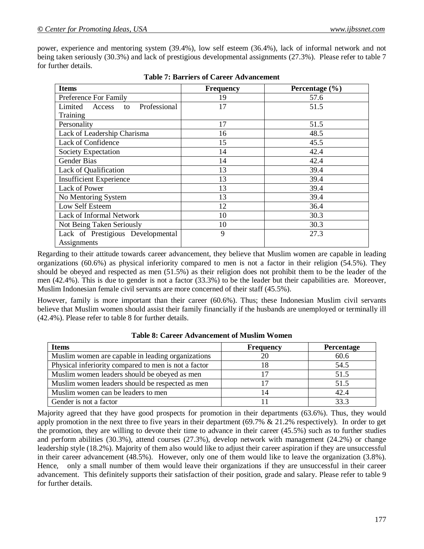power, experience and mentoring system (39.4%), low self esteem (36.4%), lack of informal network and not being taken seriously (30.3%) and lack of prestigious developmental assignments (27.3%). Please refer to table 7 for further details.

| <b>Items</b>                            | <b>Frequency</b> | Percentage $(\% )$ |
|-----------------------------------------|------------------|--------------------|
| Preference For Family                   | 19               | 57.6               |
| Professional<br>Limited<br>Access<br>to | 17               | 51.5               |
| Training                                |                  |                    |
| Personality                             | 17               | 51.5               |
| Lack of Leadership Charisma             | 16               | 48.5               |
| Lack of Confidence                      | 15               | 45.5               |
| Society Expectation                     | 14               | 42.4               |
| Gender Bias                             | 14               | 42.4               |
| Lack of Qualification                   | 13               | 39.4               |
| <b>Insufficient Experience</b>          | 13               | 39.4               |
| Lack of Power                           | 13               | 39.4               |
| No Mentoring System                     | 13               | 39.4               |
| Low Self Esteem                         | 12               | 36.4               |
| Lack of Informal Network                | 10               | 30.3               |
| Not Being Taken Seriously               | 10               | 30.3               |
| Lack of Prestigious Developmental       | 9                | 27.3               |
| Assignments                             |                  |                    |

Regarding to their attitude towards career advancement, they believe that Muslim women are capable in leading organizations (60.6%) as physical inferiority compared to men is not a factor in their religion (54.5%). They should be obeyed and respected as men (51.5%) as their religion does not prohibit them to be the leader of the men (42.4%). This is due to gender is not a factor (33.3%) to be the leader but their capabilities are. Moreover, Muslim Indonesian female civil servants are more concerned of their staff (45.5%).

However, family is more important than their career (60.6%). Thus; these Indonesian Muslim civil servants believe that Muslim women should assist their family financially if the husbands are unemployed or terminally ill (42.4%). Please refer to table 8 for further details.

| <b>Items</b>                                         | <b>Frequency</b> | <b>Percentage</b> |
|------------------------------------------------------|------------------|-------------------|
| Muslim women are capable in leading organizations    | 20               | 60.6              |
| Physical inferiority compared to men is not a factor |                  | 54.5              |
| Muslim women leaders should be obeyed as men         |                  | 51.5              |
| Muslim women leaders should be respected as men      |                  | 51.5              |
| Muslim women can be leaders to men                   | 14               | 42.4              |
| Gender is not a factor                               |                  | 33.3              |

**Table 8: Career Advancement of Muslim Women**

Majority agreed that they have good prospects for promotion in their departments (63.6%). Thus, they would apply promotion in the next three to five years in their department  $(69.7\% \& 21.2\%$  respectively). In order to get the promotion, they are willing to devote their time to advance in their career (45.5%) such as to further studies and perform abilities (30.3%), attend courses (27.3%), develop network with management (24.2%) or change leadership style (18.2%). Majority of them also would like to adjust their career aspiration if they are unsuccessful in their career advancement (48.5%). However, only one of them would like to leave the organization (3.8%). Hence, only a small number of them would leave their organizations if they are unsuccessful in their career advancement. This definitely supports their satisfaction of their position, grade and salary. Please refer to table 9 for further details.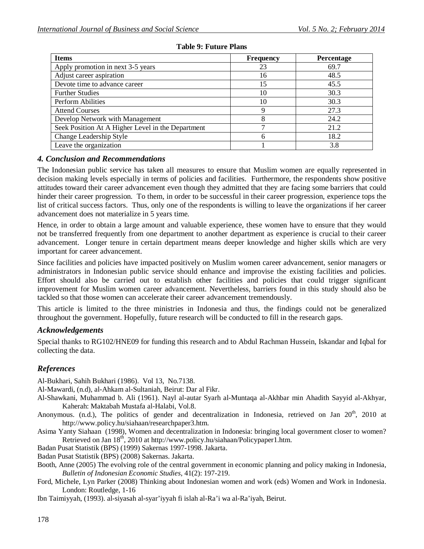| <b>Items</b>                                      | <b>Frequency</b> | Percentage |
|---------------------------------------------------|------------------|------------|
| Apply promotion in next 3-5 years                 | 23               | 69.7       |
| Adjust career aspiration                          | 16               | 48.5       |
| Devote time to advance career                     | 15               | 45.5       |
| <b>Further Studies</b>                            | 10               | 30.3       |
| Perform Abilities                                 | 10               | 30.3       |
| <b>Attend Courses</b>                             |                  | 27.3       |
| Develop Network with Management                   |                  | 24.2       |
| Seek Position At A Higher Level in the Department |                  | 21.2       |
| Change Leadership Style                           |                  | 18.2       |
| Leave the organization                            |                  | 3.8        |

#### **Table 9: Future Plans**

# *4. Conclusion and Recommendations*

The Indonesian public service has taken all measures to ensure that Muslim women are equally represented in decision making levels especially in terms of policies and facilities. Furthermore, the respondents show positive attitudes toward their career advancement even though they admitted that they are facing some barriers that could hinder their career progression. To them, in order to be successful in their career progression, experience tops the list of critical success factors. Thus, only one of the respondents is willing to leave the organizations if her career advancement does not materialize in 5 years time.

Hence, in order to obtain a large amount and valuable experience, these women have to ensure that they would not be transferred frequently from one department to another department as experience is crucial to their career advancement. Longer tenure in certain department means deeper knowledge and higher skills which are very important for career advancement.

Since facilities and policies have impacted positively on Muslim women career advancement, senior managers or administrators in Indonesian public service should enhance and improvise the existing facilities and policies. Effort should also be carried out to establish other facilities and policies that could trigger significant improvement for Muslim women career advancement. Nevertheless, barriers found in this study should also be tackled so that those women can accelerate their career advancement tremendously.

This article is limited to the three ministries in Indonesia and thus, the findings could not be generalized throughout the government. Hopefully, future research will be conducted to fill in the research gaps.

# *Acknowledgements*

Special thanks to RG102/HNE09 for funding this research and to Abdul Rachman Hussein, Iskandar and Iqbal for collecting the data.

# *References*

Al-Bukhari, Sahih Bukhari (1986). Vol 13, No.7138.

Al-Mawardi, (n.d), al-Ahkam al-Sultaniah, Beirut: Dar al Fikr.

- Al-Shawkani, Muhammad b. Ali (1961). Nayl al-autar Syarh al-Muntaqa al-Akhbar min Ahadith Sayyid al-Akhyar, Kaherah: Maktabah Mustafa al-Halabi, Vol.8.
- Anonymous. (n.d.), The politics of gender and decentralization in Indonesia, retrieved on Jan 20<sup>th</sup>, 2010 at http://www.policy.hu/siahaan/researchpaper3.htm.
- Asima Yanty Siahaan (1998), Women and decentralization in Indonesia: bringing local government closer to women? Retrieved on Jan 18<sup>th</sup>, 2010 at http://www.policy.hu/siahaan/Policypaper1.htm.

Badan Pusat Statistik (BPS) (1999) Sakernas 1997-1998. Jakarta.

Badan Pusat Statistik (BPS) (2008) Sakernas. Jakarta.

- Booth, Anne (2005) The evolving role of the central government in economic planning and policy making in Indonesia*, Bulletin of Indonesian Economic Studies,* 41(2): 197-219.
- Ford, Michele, Lyn Parker (2008) Thinking about Indonesian women and work (eds) Women and Work in Indonesia. London: Routledge, 1-16

Ibn Taimiyyah, (1993). al-siyasah al-syar'iyyah fi islah al-Ra'i wa al-Ra'iyah, Beirut.